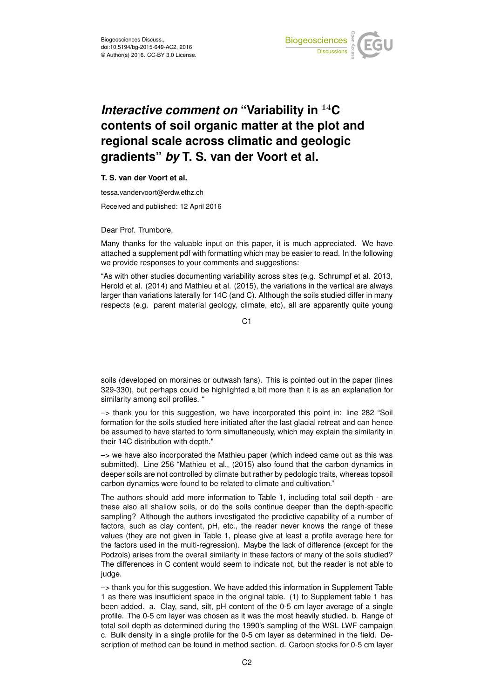

## *Interactive comment on* **"Variability in** <sup>14</sup>**C contents of soil organic matter at the plot and regional scale across climatic and geologic gradients"** *by* **T. S. van der Voort et al.**

## **T. S. van der Voort et al.**

tessa.vandervoort@erdw.ethz.ch

Received and published: 12 April 2016

Dear Prof. Trumbore,

Many thanks for the valuable input on this paper, it is much appreciated. We have attached a supplement pdf with formatting which may be easier to read. In the following we provide responses to your comments and suggestions:

"As with other studies documenting variability across sites (e.g. Schrumpf et al. 2013, Herold et al. (2014) and Mathieu et al. (2015), the variations in the vertical are always larger than variations laterally for 14C (and C). Although the soils studied differ in many respects (e.g. parent material geology, climate, etc), all are apparently quite young

 $C<sub>1</sub>$ 

soils (developed on moraines or outwash fans). This is pointed out in the paper (lines 329-330), but perhaps could be highlighted a bit more than it is as an explanation for similarity among soil profiles. "

–> thank you for this suggestion, we have incorporated this point in: line 282 "Soil formation for the soils studied here initiated after the last glacial retreat and can hence be assumed to have started to form simultaneously, which may explain the similarity in their 14C distribution with depth."

 $\rightarrow$  we have also incorporated the Mathieu paper (which indeed came out as this was submitted). Line 256 "Mathieu et al., (2015) also found that the carbon dynamics in deeper soils are not controlled by climate but rather by pedologic traits, whereas topsoil carbon dynamics were found to be related to climate and cultivation."

The authors should add more information to Table 1, including total soil depth - are these also all shallow soils, or do the soils continue deeper than the depth-specific sampling? Although the authors investigated the predictive capability of a number of factors, such as clay content, pH, etc., the reader never knows the range of these values (they are not given in Table 1, please give at least a profile average here for the factors used in the multi-regression). Maybe the lack of difference (except for the Podzols) arises from the overall similarity in these factors of many of the soils studied? The differences in C content would seem to indicate not, but the reader is not able to judge.

–> thank you for this suggestion. We have added this information in Supplement Table 1 as there was insufficient space in the original table. (1) to Supplement table 1 has been added. a. Clay, sand, silt, pH content of the 0-5 cm layer average of a single profile. The 0-5 cm layer was chosen as it was the most heavily studied. b. Range of total soil depth as determined during the 1990's sampling of the WSL LWF campaign c. Bulk density in a single profile for the 0-5 cm layer as determined in the field. Description of method can be found in method section. d. Carbon stocks for 0-5 cm layer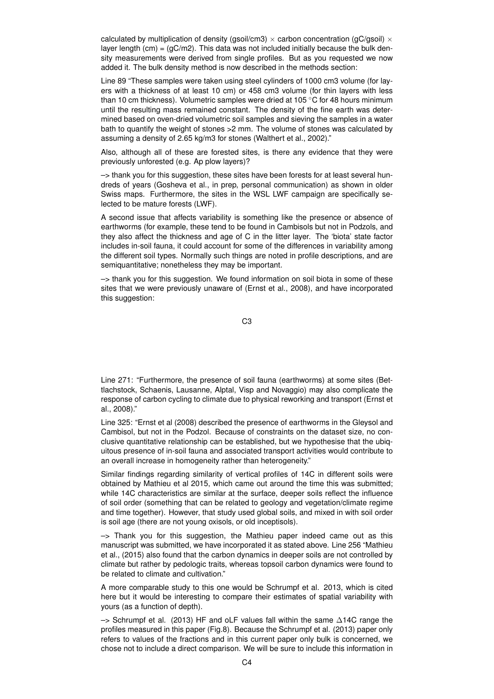calculated by multiplication of density (gsoil/cm3)  $\times$  carbon concentration (gC/gsoil)  $\times$ layer length  $(cm) = (gC/m2)$ . This data was not included initially because the bulk density measurements were derived from single profiles. But as you requested we now added it. The bulk density method is now described in the methods section:

Line 89 "These samples were taken using steel cylinders of 1000 cm3 volume (for layers with a thickness of at least 10 cm) or 458 cm3 volume (for thin layers with less than 10 cm thickness). Volumetric samples were dried at 105 ◦C for 48 hours minimum until the resulting mass remained constant. The density of the fine earth was determined based on oven-dried volumetric soil samples and sieving the samples in a water bath to quantify the weight of stones >2 mm. The volume of stones was calculated by assuming a density of 2.65 kg/m3 for stones (Walthert et al., 2002)."

Also, although all of these are forested sites, is there any evidence that they were previously unforested (e.g. Ap plow layers)?

–> thank you for this suggestion, these sites have been forests for at least several hundreds of years (Gosheva et al., in prep, personal communication) as shown in older Swiss maps. Furthermore, the sites in the WSL LWF campaign are specifically selected to be mature forests (LWF).

A second issue that affects variability is something like the presence or absence of earthworms (for example, these tend to be found in Cambisols but not in Podzols, and they also affect the thickness and age of C in the litter layer. The 'biota' state factor includes in-soil fauna, it could account for some of the differences in variability among the different soil types. Normally such things are noted in profile descriptions, and are semiquantitative; nonetheless they may be important.

 $\rightarrow$  thank you for this suggestion. We found information on soil biota in some of these sites that we were previously unaware of (Ernst et al., 2008), and have incorporated this suggestion:

C3

Line 271: "Furthermore, the presence of soil fauna (earthworms) at some sites (Bettlachstock, Schaenis, Lausanne, Alptal, Visp and Novaggio) may also complicate the response of carbon cycling to climate due to physical reworking and transport (Ernst et al., 2008)."

Line 325: "Ernst et al (2008) described the presence of earthworms in the Gleysol and Cambisol, but not in the Podzol. Because of constraints on the dataset size, no conclusive quantitative relationship can be established, but we hypothesise that the ubiquitous presence of in-soil fauna and associated transport activities would contribute to an overall increase in homogeneity rather than heterogeneity."

Similar findings regarding similarity of vertical profiles of 14C in different soils were obtained by Mathieu et al 2015, which came out around the time this was submitted; while 14C characteristics are similar at the surface, deeper soils reflect the influence of soil order (something that can be related to geology and vegetation/climate regime and time together). However, that study used global soils, and mixed in with soil order is soil age (there are not young oxisols, or old inceptisols).

 $\rightarrow$  Thank you for this suggestion, the Mathieu paper indeed came out as this manuscript was submitted, we have incorporated it as stated above. Line 256 "Mathieu et al., (2015) also found that the carbon dynamics in deeper soils are not controlled by climate but rather by pedologic traits, whereas topsoil carbon dynamics were found to be related to climate and cultivation."

A more comparable study to this one would be Schrumpf et al. 2013, which is cited here but it would be interesting to compare their estimates of spatial variability with yours (as a function of depth).

–> Schrumpf et al. (2013) HF and oLF values fall within the same ∆14C range the profiles measured in this paper (Fig.8). Because the Schrumpf et al. (2013) paper only refers to values of the fractions and in this current paper only bulk is concerned, we chose not to include a direct comparison. We will be sure to include this information in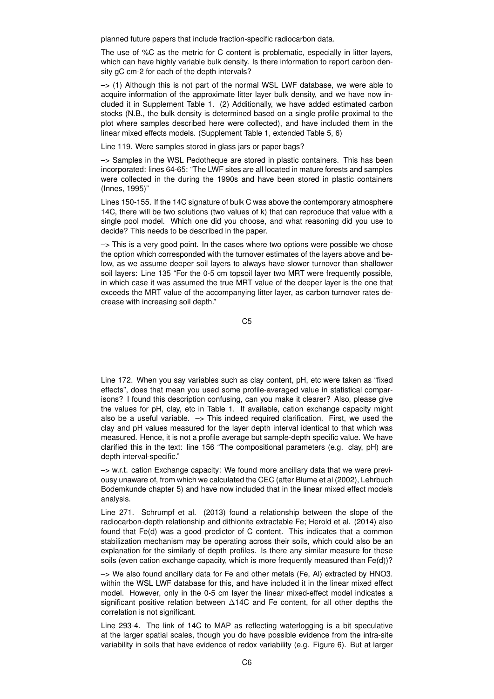planned future papers that include fraction-specific radiocarbon data.

The use of %C as the metric for C content is problematic, especially in litter layers, which can have highly variable bulk density. Is there information to report carbon density gC cm-2 for each of the depth intervals?

 $\rightarrow$  (1) Although this is not part of the normal WSL LWF database, we were able to acquire information of the approximate litter layer bulk density, and we have now included it in Supplement Table 1. (2) Additionally, we have added estimated carbon stocks (N.B., the bulk density is determined based on a single profile proximal to the plot where samples described here were collected), and have included them in the linear mixed effects models. (Supplement Table 1, extended Table 5, 6)

Line 119. Were samples stored in glass jars or paper bags?

–> Samples in the WSL Pedotheque are stored in plastic containers. This has been incorporated: lines 64-65: "The LWF sites are all located in mature forests and samples were collected in the during the 1990s and have been stored in plastic containers (Innes, 1995)"

Lines 150-155. If the 14C signature of bulk C was above the contemporary atmosphere 14C, there will be two solutions (two values of k) that can reproduce that value with a single pool model. Which one did you choose, and what reasoning did you use to decide? This needs to be described in the paper.

 $\rightarrow$  This is a very good point. In the cases where two options were possible we chose the option which corresponded with the turnover estimates of the layers above and below, as we assume deeper soil layers to always have slower turnover than shallower soil layers: Line 135 "For the 0-5 cm topsoil layer two MRT were frequently possible, in which case it was assumed the true MRT value of the deeper layer is the one that exceeds the MRT value of the accompanying litter layer, as carbon turnover rates decrease with increasing soil depth."

C5

Line 172. When you say variables such as clay content, pH, etc were taken as "fixed effects", does that mean you used some profile-averaged value in statistical comparisons? I found this description confusing, can you make it clearer? Also, please give the values for pH, clay, etc in Table 1. If available, cation exchange capacity might also be a useful variable.  $\rightarrow$  This indeed required clarification. First, we used the clay and pH values measured for the layer depth interval identical to that which was measured. Hence, it is not a profile average but sample-depth specific value. We have clarified this in the text: line 156 "The compositional parameters (e.g. clay, pH) are depth interval-specific."

 $\rightarrow$  w.r.t. cation Exchange capacity: We found more ancillary data that we were previousy unaware of, from which we calculated the CEC (after Blume et al (2002), Lehrbuch Bodemkunde chapter 5) and have now included that in the linear mixed effect models analysis.

Line 271. Schrumpf et al. (2013) found a relationship between the slope of the radiocarbon-depth relationship and dithionite extractable Fe; Herold et al. (2014) also found that Fe(d) was a good predictor of C content. This indicates that a common stabilization mechanism may be operating across their soils, which could also be an explanation for the similarly of depth profiles. Is there any similar measure for these soils (even cation exchange capacity, which is more frequently measured than Fe(d))?

–> We also found ancillary data for Fe and other metals (Fe, Al) extracted by HNO3. within the WSL LWF database for this, and have included it in the linear mixed effect model. However, only in the 0-5 cm layer the linear mixed-effect model indicates a significant positive relation between ∆14C and Fe content, for all other depths the correlation is not significant.

Line 293-4. The link of 14C to MAP as reflecting waterlogging is a bit speculative at the larger spatial scales, though you do have possible evidence from the intra-site variability in soils that have evidence of redox variability (e.g. Figure 6). But at larger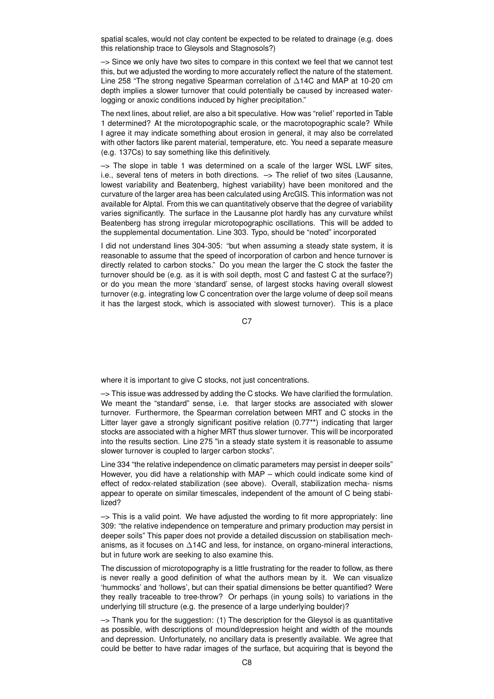spatial scales, would not clay content be expected to be related to drainage (e.g. does this relationship trace to Gleysols and Stagnosols?)

 $\rightarrow$  Since we only have two sites to compare in this context we feel that we cannot test this, but we adjusted the wording to more accurately reflect the nature of the statement. Line 258 "The strong negative Spearman correlation of ∆14C and MAP at 10-20 cm depth implies a slower turnover that could potentially be caused by increased waterlogging or anoxic conditions induced by higher precipitation."

The next lines, about relief, are also a bit speculative. How was "relief' reported in Table 1 determined? At the microtopographic scale, or the macrotopographic scale? While I agree it may indicate something about erosion in general, it may also be correlated with other factors like parent material, temperature, etc. You need a separate measure (e.g. 137Cs) to say something like this definitively.

 $\rightarrow$  The slope in table 1 was determined on a scale of the larger WSL LWF sites, i.e., several tens of meters in both directions.  $\rightarrow$  The relief of two sites (Lausanne, lowest variability and Beatenberg, highest variability) have been monitored and the curvature of the larger area has been calculated using ArcGIS. This information was not available for Alptal. From this we can quantitatively observe that the degree of variability varies significantly. The surface in the Lausanne plot hardly has any curvature whilst Beatenberg has strong irregular microtopographic oscillations. This will be added to the supplemental documentation. Line 303. Typo, should be "noted" incorporated

I did not understand lines 304-305: "but when assuming a steady state system, it is reasonable to assume that the speed of incorporation of carbon and hence turnover is directly related to carbon stocks." Do you mean the larger the C stock the faster the turnover should be (e.g. as it is with soil depth, most C and fastest C at the surface?) or do you mean the more 'standard' sense, of largest stocks having overall slowest turnover (e.g. integrating low C concentration over the large volume of deep soil means it has the largest stock, which is associated with slowest turnover). This is a place

C<sub>7</sub>

where it is important to give C stocks, not just concentrations.

 $\rightarrow$  This issue was addressed by adding the C stocks. We have clarified the formulation. We meant the "standard" sense, i.e. that larger stocks are associated with slower turnover. Furthermore, the Spearman correlation between MRT and C stocks in the Litter layer gave a strongly significant positive relation (0.77\*\*) indicating that larger stocks are associated with a higher MRT thus slower turnover. This will be incorporated into the results section. Line 275 "in a steady state system it is reasonable to assume slower turnover is coupled to larger carbon stocks".

Line 334 "the relative independence on climatic parameters may persist in deeper soils" However, you did have a relationship with MAP – which could indicate some kind of effect of redox-related stabilization (see above). Overall, stabilization mecha- nisms appear to operate on similar timescales, independent of the amount of C being stabilized?

 $\rightarrow$  This is a valid point. We have adjusted the wording to fit more appropriately: line 309: "the relative independence on temperature and primary production may persist in deeper soils" This paper does not provide a detailed discussion on stabilisation mechanisms, as it focuses on  $\triangle$ 14C and less, for instance, on organo-mineral interactions, but in future work are seeking to also examine this.

The discussion of microtopography is a little frustrating for the reader to follow, as there is never really a good definition of what the authors mean by it. We can visualize 'hummocks' and 'hollows', but can their spatial dimensions be better quantified? Were they really traceable to tree-throw? Or perhaps (in young soils) to variations in the underlying till structure (e.g. the presence of a large underlying boulder)?

 $\rightarrow$  Thank you for the suggestion: (1) The description for the Gleysol is as quantitative as possible, with descriptions of mound/depression height and width of the mounds and depression. Unfortunately, no ancillary data is presently available. We agree that could be better to have radar images of the surface, but acquiring that is beyond the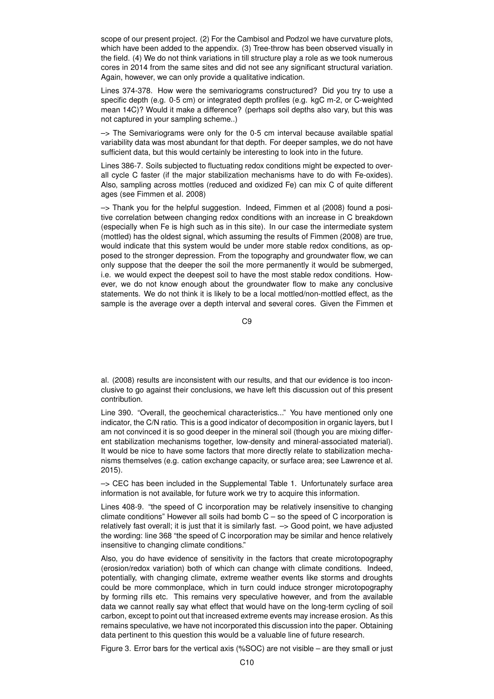scope of our present project. (2) For the Cambisol and Podzol we have curvature plots, which have been added to the appendix. (3) Tree-throw has been observed visually in the field. (4) We do not think variations in till structure play a role as we took numerous cores in 2014 from the same sites and did not see any significant structural variation. Again, however, we can only provide a qualitative indication.

Lines 374-378. How were the semivariograms constructured? Did you try to use a specific depth (e.g. 0-5 cm) or integrated depth profiles (e.g. kgC m-2, or C-weighted mean 14C)? Would it make a difference? (perhaps soil depths also vary, but this was not captured in your sampling scheme..)

 $\rightarrow$  The Semivariograms were only for the 0-5 cm interval because available spatial variability data was most abundant for that depth. For deeper samples, we do not have sufficient data, but this would certainly be interesting to look into in the future.

Lines 386-7. Soils subjected to fluctuating redox conditions might be expected to overall cycle C faster (if the major stabilization mechanisms have to do with Fe-oxides). Also, sampling across mottles (reduced and oxidized Fe) can mix C of quite different ages (see Fimmen et al. 2008)

 $\rightarrow$  Thank you for the helpful suggestion. Indeed, Fimmen et al (2008) found a positive correlation between changing redox conditions with an increase in C breakdown (especially when Fe is high such as in this site). In our case the intermediate system (mottled) has the oldest signal, which assuming the results of Fimmen (2008) are true, would indicate that this system would be under more stable redox conditions, as opposed to the stronger depression. From the topography and groundwater flow, we can only suppose that the deeper the soil the more permanently it would be submerged, i.e. we would expect the deepest soil to have the most stable redox conditions. However, we do not know enough about the groundwater flow to make any conclusive statements. We do not think it is likely to be a local mottled/non-mottled effect, as the sample is the average over a depth interval and several cores. Given the Fimmen et

 $C9$ 

al. (2008) results are inconsistent with our results, and that our evidence is too inconclusive to go against their conclusions, we have left this discussion out of this present contribution.

Line 390. "Overall, the geochemical characteristics..." You have mentioned only one indicator, the C/N ratio. This is a good indicator of decomposition in organic layers, but I am not convinced it is so good deeper in the mineral soil (though you are mixing different stabilization mechanisms together, low-density and mineral-associated material). It would be nice to have some factors that more directly relate to stabilization mechanisms themselves (e.g. cation exchange capacity, or surface area; see Lawrence et al. 2015).

–> CEC has been included in the Supplemental Table 1. Unfortunately surface area information is not available, for future work we try to acquire this information.

Lines 408-9. "the speed of C incorporation may be relatively insensitive to changing climate conditions" However all soils had bomb  $C - so$  the speed of C incorporation is relatively fast overall; it is just that it is similarly fast. –> Good point, we have adjusted the wording: line 368 "the speed of C incorporation may be similar and hence relatively insensitive to changing climate conditions."

Also, you do have evidence of sensitivity in the factors that create microtopography (erosion/redox variation) both of which can change with climate conditions. Indeed, potentially, with changing climate, extreme weather events like storms and droughts could be more commonplace, which in turn could induce stronger microtopography by forming rills etc. This remains very speculative however, and from the available data we cannot really say what effect that would have on the long-term cycling of soil carbon, except to point out that increased extreme events may increase erosion. As this remains speculative, we have not incorporated this discussion into the paper. Obtaining data pertinent to this question this would be a valuable line of future research.

Figure 3. Error bars for the vertical axis (%SOC) are not visible – are they small or just